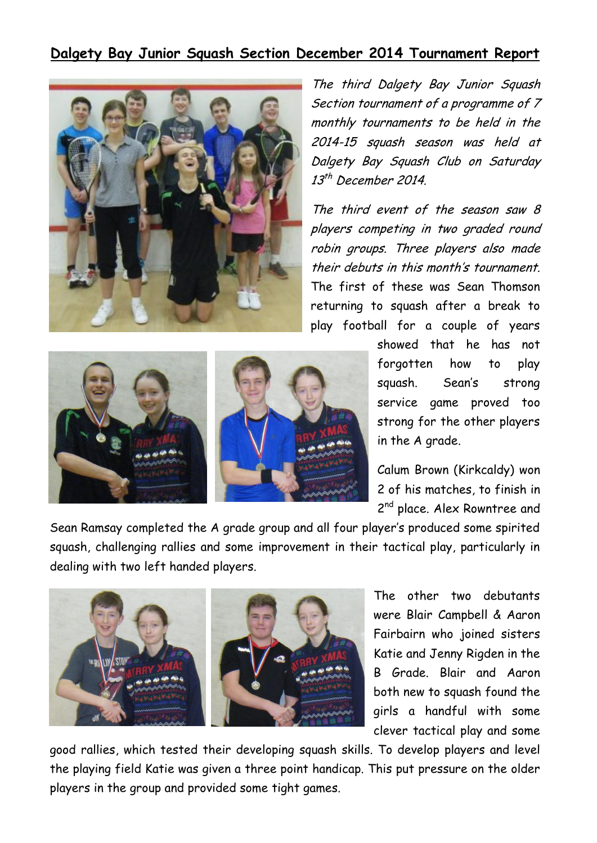## **Dalgety Bay Junior Squash Section December 2014 Tournament Report**



The third Dalgety Bay Junior Squash Section tournament of a programme of 7 monthly tournaments to be held in the 2014-15 squash season was held at Dalgety Bay Squash Club on Saturday 13<sup>th</sup> December 2014.

The third event of the season saw 8 players competing in two graded round robin groups. Three players also made their debuts in this month's tournament. The first of these was Sean Thomson returning to squash after a break to play football for a couple of years



showed that he has not forgotten how to play squash. Sean's strong service game proved too strong for the other players in the A grade.

Calum Brown (Kirkcaldy) won 2 of his matches, to finish in 2<sup>nd</sup> place. Alex Rowntree and

Sean Ramsay completed the A grade group and all four player's produced some spirited squash, challenging rallies and some improvement in their tactical play, particularly in dealing with two left handed players.



The other two debutants were Blair Campbell & Aaron Fairbairn who joined sisters Katie and Jenny Rigden in the B Grade. Blair and Aaron both new to squash found the girls a handful with some clever tactical play and some

good rallies, which tested their developing squash skills. To develop players and level the playing field Katie was given a three point handicap. This put pressure on the older players in the group and provided some tight games.